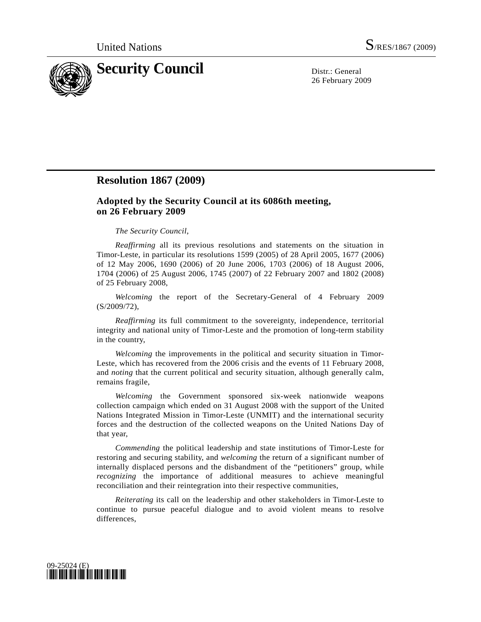

26 February 2009

## **Resolution 1867 (2009)**

## **Adopted by the Security Council at its 6086th meeting, on 26 February 2009**

## *The Security Council*,

*Reaffirming* all its previous resolutions and statements on the situation in Timor-Leste, in particular its resolutions 1599 (2005) of 28 April 2005, 1677 (2006) of 12 May 2006, 1690 (2006) of 20 June 2006, 1703 (2006) of 18 August 2006, 1704 (2006) of 25 August 2006, 1745 (2007) of 22 February 2007 and 1802 (2008) of 25 February 2008,

*Welcoming* the report of the Secretary-General of 4 February 2009 (S/2009/72),

*Reaffirming* its full commitment to the sovereignty, independence, territorial integrity and national unity of Timor-Leste and the promotion of long-term stability in the country,

*Welcoming* the improvements in the political and security situation in Timor-Leste, which has recovered from the 2006 crisis and the events of 11 February 2008, and *noting* that the current political and security situation, although generally calm, remains fragile,

*Welcoming* the Government sponsored six-week nationwide weapons collection campaign which ended on 31 August 2008 with the support of the United Nations Integrated Mission in Timor-Leste (UNMIT) and the international security forces and the destruction of the collected weapons on the United Nations Day of that year,

*Commending* the political leadership and state institutions of Timor-Leste for restoring and securing stability, and *welcoming* the return of a significant number of internally displaced persons and the disbandment of the "petitioners" group, while *recognizing* the importance of additional measures to achieve meaningful reconciliation and their reintegration into their respective communities,

*Reiterating* its call on the leadership and other stakeholders in Timor-Leste to continue to pursue peaceful dialogue and to avoid violent means to resolve differences,

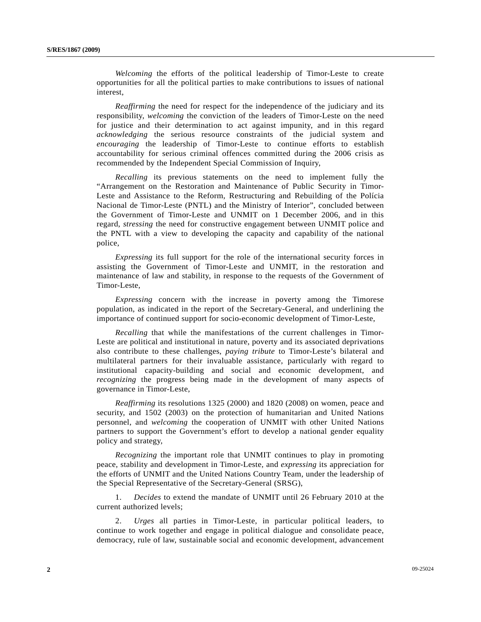*Welcoming* the efforts of the political leadership of Timor-Leste to create opportunities for all the political parties to make contributions to issues of national interest,

*Reaffirming* the need for respect for the independence of the judiciary and its responsibility, *welcoming* the conviction of the leaders of Timor-Leste on the need for justice and their determination to act against impunity, and in this regard *acknowledging* the serious resource constraints of the judicial system and *encouraging* the leadership of Timor-Leste to continue efforts to establish accountability for serious criminal offences committed during the 2006 crisis as recommended by the Independent Special Commission of Inquiry,

*Recalling* its previous statements on the need to implement fully the "Arrangement on the Restoration and Maintenance of Public Security in Timor-Leste and Assistance to the Reform, Restructuring and Rebuilding of the Polícia Nacional de Timor-Leste (PNTL) and the Ministry of Interior", concluded between the Government of Timor-Leste and UNMIT on 1 December 2006, and in this regard, *stressing* the need for constructive engagement between UNMIT police and the PNTL with a view to developing the capacity and capability of the national police,

*Expressing* its full support for the role of the international security forces in assisting the Government of Timor-Leste and UNMIT, in the restoration and maintenance of law and stability, in response to the requests of the Government of Timor-Leste,

*Expressing* concern with the increase in poverty among the Timorese population, as indicated in the report of the Secretary-General, and underlining the importance of continued support for socio-economic development of Timor-Leste,

*Recalling* that while the manifestations of the current challenges in Timor-Leste are political and institutional in nature, poverty and its associated deprivations also contribute to these challenges, *paying tribute* to Timor-Leste's bilateral and multilateral partners for their invaluable assistance, particularly with regard to institutional capacity-building and social and economic development, and *recognizing* the progress being made in the development of many aspects of governance in Timor-Leste,

*Reaffirming* its resolutions 1325 (2000) and 1820 (2008) on women, peace and security, and 1502 (2003) on the protection of humanitarian and United Nations personnel, and *welcoming* the cooperation of UNMIT with other United Nations partners to support the Government's effort to develop a national gender equality policy and strategy,

*Recognizing* the important role that UNMIT continues to play in promoting peace, stability and development in Timor-Leste, and *expressing* its appreciation for the efforts of UNMIT and the United Nations Country Team, under the leadership of the Special Representative of the Secretary-General (SRSG),

 1. *Decides* to extend the mandate of UNMIT until 26 February 2010 at the current authorized levels;

 2. *Urges* all parties in Timor-Leste, in particular political leaders, to continue to work together and engage in political dialogue and consolidate peace, democracy, rule of law, sustainable social and economic development, advancement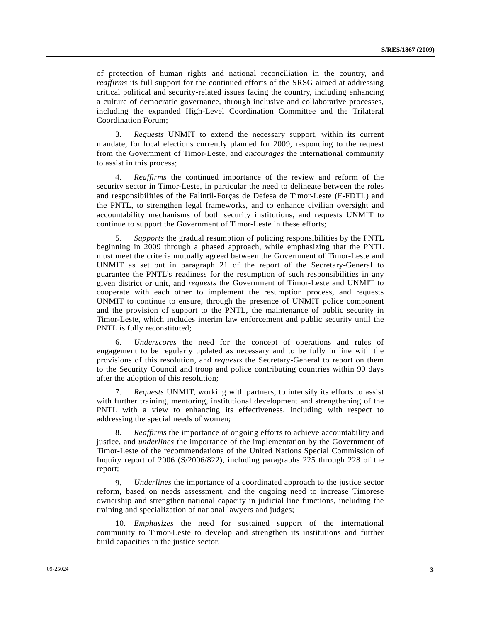of protection of human rights and national reconciliation in the country, and *reaffirms* its full support for the continued efforts of the SRSG aimed at addressing critical political and security-related issues facing the country, including enhancing a culture of democratic governance, through inclusive and collaborative processes, including the expanded High-Level Coordination Committee and the Trilateral Coordination Forum;

 3. *Requests* UNMIT to extend the necessary support, within its current mandate, for local elections currently planned for 2009, responding to the request from the Government of Timor-Leste, and *encourages* the international community to assist in this process;

 4. *Reaffirms* the continued importance of the review and reform of the security sector in Timor-Leste, in particular the need to delineate between the roles and responsibilities of the Falintil-Forças de Defesa de Timor-Leste (F-FDTL) and the PNTL, to strengthen legal frameworks, and to enhance civilian oversight and accountability mechanisms of both security institutions, and requests UNMIT to continue to support the Government of Timor-Leste in these efforts;

 5. *Supports* the gradual resumption of policing responsibilities by the PNTL beginning in 2009 through a phased approach, while emphasizing that the PNTL must meet the criteria mutually agreed between the Government of Timor-Leste and UNMIT as set out in paragraph 21 of the report of the Secretary-General to guarantee the PNTL's readiness for the resumption of such responsibilities in any given district or unit, and *requests* the Government of Timor-Leste and UNMIT to cooperate with each other to implement the resumption process, and requests UNMIT to continue to ensure, through the presence of UNMIT police component and the provision of support to the PNTL, the maintenance of public security in Timor-Leste, which includes interim law enforcement and public security until the PNTL is fully reconstituted;

 6. *Underscores* the need for the concept of operations and rules of engagement to be regularly updated as necessary and to be fully in line with the provisions of this resolution, and *requests* the Secretary-General to report on them to the Security Council and troop and police contributing countries within 90 days after the adoption of this resolution;

 7. *Requests* UNMIT, working with partners, to intensify its efforts to assist with further training, mentoring, institutional development and strengthening of the PNTL with a view to enhancing its effectiveness, including with respect to addressing the special needs of women;

 8. *Reaffirms* the importance of ongoing efforts to achieve accountability and justice, and *underlines* the importance of the implementation by the Government of Timor-Leste of the recommendations of the United Nations Special Commission of Inquiry report of 2006 (S/2006/822), including paragraphs 225 through 228 of the report;

 9. *Underlines* the importance of a coordinated approach to the justice sector reform, based on needs assessment, and the ongoing need to increase Timorese ownership and strengthen national capacity in judicial line functions, including the training and specialization of national lawyers and judges;

 10. *Emphasizes* the need for sustained support of the international community to Timor-Leste to develop and strengthen its institutions and further build capacities in the justice sector;